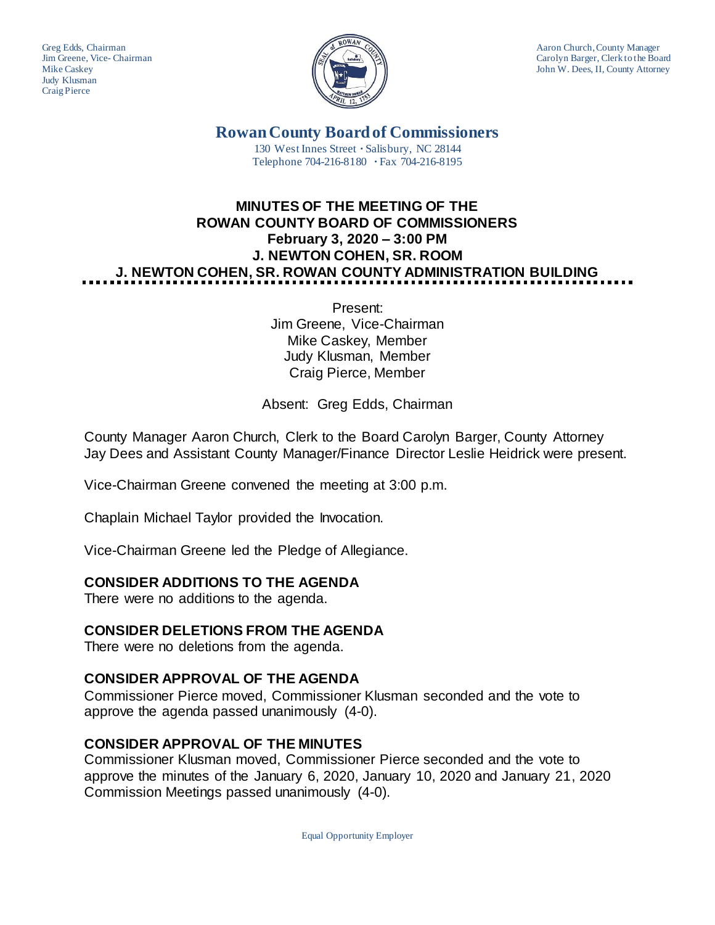Judy Klusman Craig Pierce



Greg Edds, Chairman Aaron Church, County Manager<br>Jim Greene, Vice-Chairman Aaron Church, County Manager and Aaron Church, County Manager Jim Greene, Vice- Chairman Carolyn Barger, Clerk to the Board Mike Caskey Carolyn Barger, Clerk to the Board Mike Caskey John W. Dees, II, County Attorney

> **Rowan County Board of Commissioners** 130 West Innes Street **∙** Salisbury, NC 28144 Telephone 704-216-8180 **∙** Fax 704-216-8195

# **MINUTES OF THE MEETING OF THE ROWAN COUNTY BOARD OF COMMISSIONERS February 3, 2020 – 3:00 PM J. NEWTON COHEN, SR. ROOM J. NEWTON COHEN, SR. ROWAN COUNTY ADMINISTRATION BUILDING**

Present: Jim Greene, Vice-Chairman Mike Caskey, Member Judy Klusman, Member Craig Pierce, Member

Absent: Greg Edds, Chairman

County Manager Aaron Church, Clerk to the Board Carolyn Barger, County Attorney Jay Dees and Assistant County Manager/Finance Director Leslie Heidrick were present.

Vice-Chairman Greene convened the meeting at 3:00 p.m.

Chaplain Michael Taylor provided the Invocation.

Vice-Chairman Greene led the Pledge of Allegiance.

## **CONSIDER ADDITIONS TO THE AGENDA**

There were no additions to the agenda.

## **CONSIDER DELETIONS FROM THE AGENDA**

There were no deletions from the agenda.

## **CONSIDER APPROVAL OF THE AGENDA**

Commissioner Pierce moved, Commissioner Klusman seconded and the vote to approve the agenda passed unanimously (4-0).

## **CONSIDER APPROVAL OF THE MINUTES**

Commissioner Klusman moved, Commissioner Pierce seconded and the vote to approve the minutes of the January 6, 2020, January 10, 2020 and January 21, 2020 Commission Meetings passed unanimously (4-0).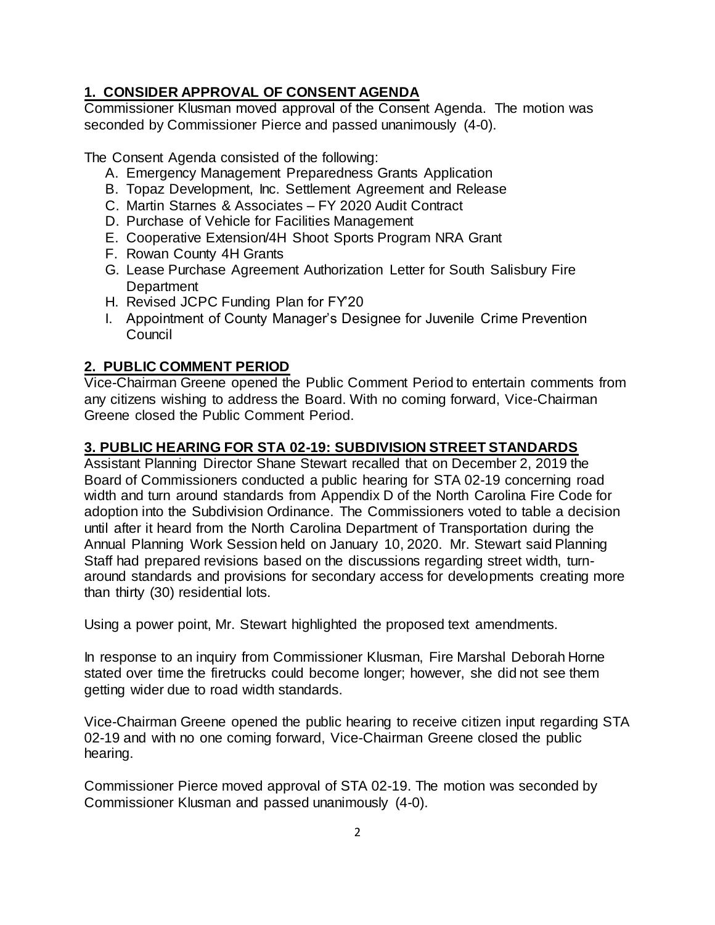## **1. CONSIDER APPROVAL OF CONSENT AGENDA**

Commissioner Klusman moved approval of the Consent Agenda. The motion was seconded by Commissioner Pierce and passed unanimously (4-0).

The Consent Agenda consisted of the following:

- A. Emergency Management Preparedness Grants Application
- B. Topaz Development, Inc. Settlement Agreement and Release
- C. Martin Starnes & Associates FY 2020 Audit Contract
- D. Purchase of Vehicle for Facilities Management
- E. Cooperative Extension/4H Shoot Sports Program NRA Grant
- F. Rowan County 4H Grants
- G. Lease Purchase Agreement Authorization Letter for South Salisbury Fire **Department**
- H. Revised JCPC Funding Plan for FY'20
- I. Appointment of County Manager's Designee for Juvenile Crime Prevention Council

## **2. PUBLIC COMMENT PERIOD**

Vice-Chairman Greene opened the Public Comment Period to entertain comments from any citizens wishing to address the Board. With no coming forward, Vice-Chairman Greene closed the Public Comment Period.

## **3. PUBLIC HEARING FOR STA 02-19: SUBDIVISION STREET STANDARDS**

Assistant Planning Director Shane Stewart recalled that on December 2, 2019 the Board of Commissioners conducted a public hearing for STA 02-19 concerning road width and turn around standards from Appendix D of the North Carolina Fire Code for adoption into the Subdivision Ordinance. The Commissioners voted to table a decision until after it heard from the North Carolina Department of Transportation during the Annual Planning Work Session held on January 10, 2020. Mr. Stewart said Planning Staff had prepared revisions based on the discussions regarding street width, turnaround standards and provisions for secondary access for developments creating more than thirty (30) residential lots.

Using a power point, Mr. Stewart highlighted the proposed text amendments.

In response to an inquiry from Commissioner Klusman, Fire Marshal Deborah Horne stated over time the firetrucks could become longer; however, she did not see them getting wider due to road width standards.

Vice-Chairman Greene opened the public hearing to receive citizen input regarding STA 02-19 and with no one coming forward, Vice-Chairman Greene closed the public hearing.

Commissioner Pierce moved approval of STA 02-19. The motion was seconded by Commissioner Klusman and passed unanimously (4-0).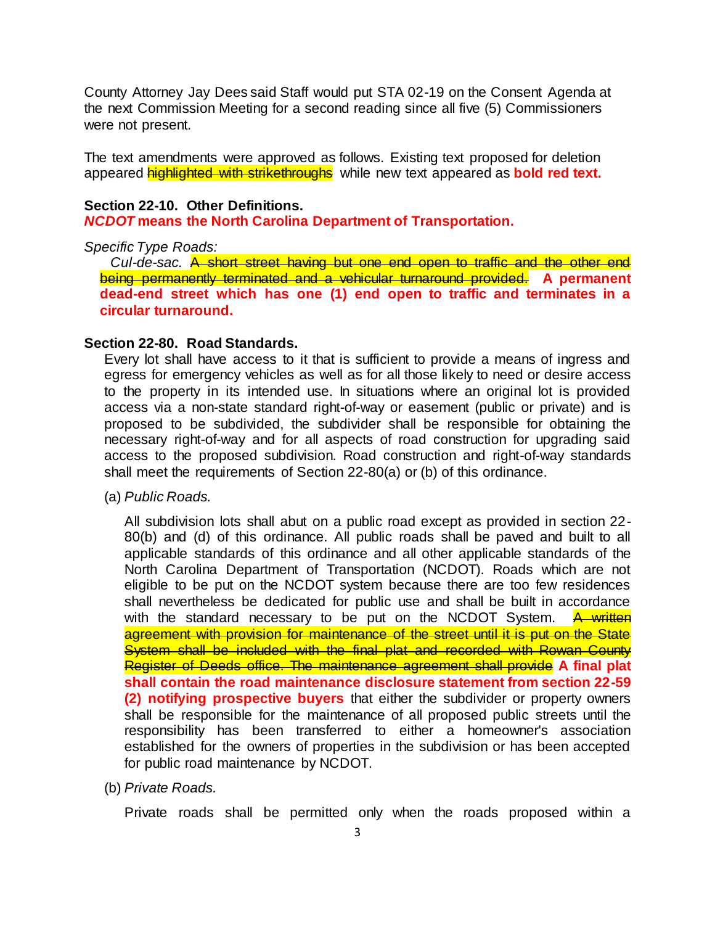County Attorney Jay Dees said Staff would put STA 02-19 on the Consent Agenda at the next Commission Meeting for a second reading since all five (5) Commissioners were not present.

The text amendments were approved as follows. Existing text proposed for deletion appeared highlighted with strikethroughs while new text appeared as **bold red text.**

### **Section 22-10. Other Definitions.**

*NCDOT* **means the North Carolina Department of Transportation.**

### *Specific Type Roads:*

*Cul-de-sac.* A short street having but one end open to traffic and the other end being permanently terminated and a vehicular turnaround provided. **A permanent dead-end street which has one (1) end open to traffic and terminates in a circular turnaround.**

### **Section 22-80. Road Standards.**

Every lot shall have access to it that is sufficient to provide a means of ingress and egress for emergency vehicles as well as for all those likely to need or desire access to the property in its intended use. In situations where an original lot is provided access via a non-state standard right-of-way or easement (public or private) and is proposed to be subdivided, the subdivider shall be responsible for obtaining the necessary right-of-way and for all aspects of road construction for upgrading said access to the proposed subdivision. Road construction and right-of-way standards shall meet the requirements of Section 22-80(a) or (b) of this ordinance.

(a) *Public Roads.*

All subdivision lots shall abut on a public road except as provided in section 22- 80(b) and (d) of this ordinance. All public roads shall be paved and built to all applicable standards of this ordinance and all other applicable standards of the North Carolina Department of Transportation (NCDOT). Roads which are not eligible to be put on the NCDOT system because there are too few residences shall nevertheless be dedicated for public use and shall be built in accordance with the standard necessary to be put on the NCDOT System. A written agreement with provision for maintenance of the street until it is put on the State System shall be included with the final plat and recorded with Rowan County Register of Deeds office. The maintenance agreement shall provide **A final plat shall contain the road maintenance disclosure statement from section 22-59 (2) notifying prospective buyers** that either the subdivider or property owners shall be responsible for the maintenance of all proposed public streets until the responsibility has been transferred to either a homeowner's association established for the owners of properties in the subdivision or has been accepted for public road maintenance by NCDOT.

(b) *Private Roads.*

Private roads shall be permitted only when the roads proposed within a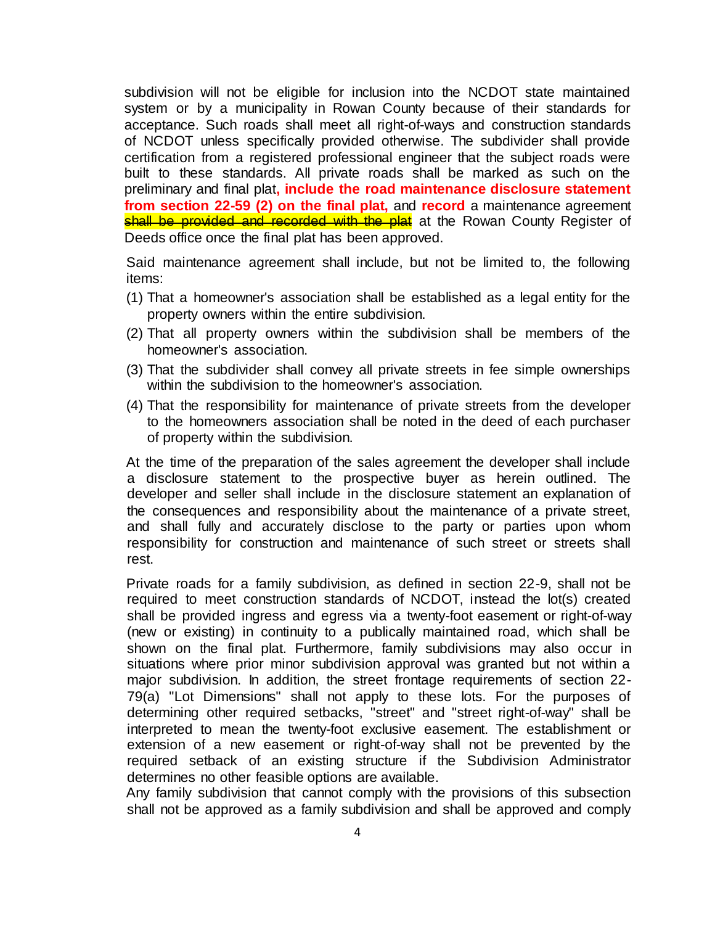subdivision will not be eligible for inclusion into the NCDOT state maintained system or by a municipality in Rowan County because of their standards for acceptance. Such roads shall meet all right-of-ways and construction standards of NCDOT unless specifically provided otherwise. The subdivider shall provide certification from a registered professional engineer that the subject roads were built to these standards. All private roads shall be marked as such on the preliminary and final plat**, include the road maintenance disclosure statement from section 22-59 (2) on the final plat,** and **record** a maintenance agreement shall be provided and recorded with the plat at the Rowan County Register of Deeds office once the final plat has been approved.

Said maintenance agreement shall include, but not be limited to, the following items:

- (1) That a homeowner's association shall be established as a legal entity for the property owners within the entire subdivision.
- (2) That all property owners within the subdivision shall be members of the homeowner's association.
- (3) That the subdivider shall convey all private streets in fee simple ownerships within the subdivision to the homeowner's association.
- (4) That the responsibility for maintenance of private streets from the developer to the homeowners association shall be noted in the deed of each purchaser of property within the subdivision.

At the time of the preparation of the sales agreement the developer shall include a disclosure statement to the prospective buyer as herein outlined. The developer and seller shall include in the disclosure statement an explanation of the consequences and responsibility about the maintenance of a private street, and shall fully and accurately disclose to the party or parties upon whom responsibility for construction and maintenance of such street or streets shall rest.

Private roads for a family subdivision, as defined in section 22-9, shall not be required to meet construction standards of NCDOT, instead the lot(s) created shall be provided ingress and egress via a twenty-foot easement or right-of-way (new or existing) in continuity to a publically maintained road, which shall be shown on the final plat. Furthermore, family subdivisions may also occur in situations where prior minor subdivision approval was granted but not within a major subdivision. In addition, the street frontage requirements of section 22- 79(a) "Lot Dimensions" shall not apply to these lots. For the purposes of determining other required setbacks, "street" and "street right-of-way" shall be interpreted to mean the twenty-foot exclusive easement. The establishment or extension of a new easement or right-of-way shall not be prevented by the required setback of an existing structure if the Subdivision Administrator determines no other feasible options are available.

Any family subdivision that cannot comply with the provisions of this subsection shall not be approved as a family subdivision and shall be approved and comply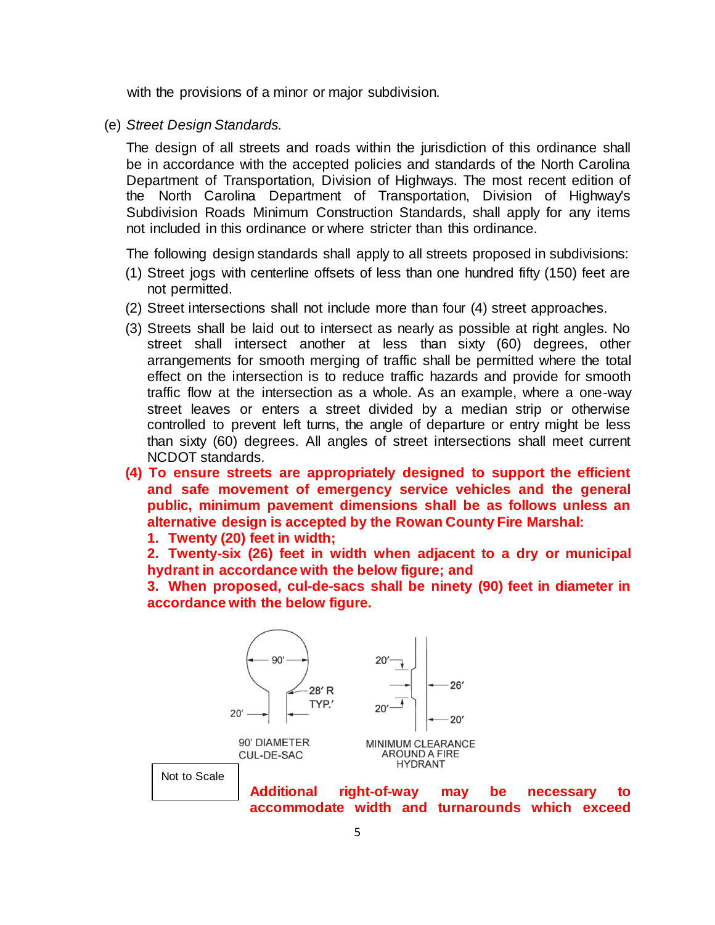with the provisions of a minor or major subdivision.

(e) *Street Design Standards.*

The design of all streets and roads within the jurisdiction of this ordinance shall be in accordance with the accepted policies and standards of the North Carolina Department of Transportation, Division of Highways. The most recent edition of the North Carolina Department of Transportation, Division of Highway's Subdivision Roads Minimum Construction Standards, shall apply for any items not included in this ordinance or where stricter than this ordinance.

The following design standards shall apply to all streets proposed in subdivisions:

- (1) Street jogs with centerline offsets of less than one hundred fifty (150) feet are not permitted.
- (2) Street intersections shall not include more than four (4) street approaches.
- (3) Streets shall be laid out to intersect as nearly as possible at right angles. No street shall intersect another at less than sixty (60) degrees, other arrangements for smooth merging of traffic shall be permitted where the total effect on the intersection is to reduce traffic hazards and provide for smooth traffic flow at the intersection as a whole. As an example, where a one-way street leaves or enters a street divided by a median strip or otherwise controlled to prevent left turns, the angle of departure or entry might be less than sixty (60) degrees. All angles of street intersections shall meet current NCDOT standards.
- **(4) To ensure streets are appropriately designed to support the efficient and safe movement of emergency service vehicles and the general public, minimum pavement dimensions shall be as follows unless an alternative design is accepted by the Rowan County Fire Marshal:**
	- **1. Twenty (20) feet in width;**

**2. Twenty-six (26) feet in width when adjacent to a dry or municipal hydrant in accordance with the below figure; and**

**3. When proposed, cul-de-sacs shall be ninety (90) feet in diameter in accordance with the below figure.**

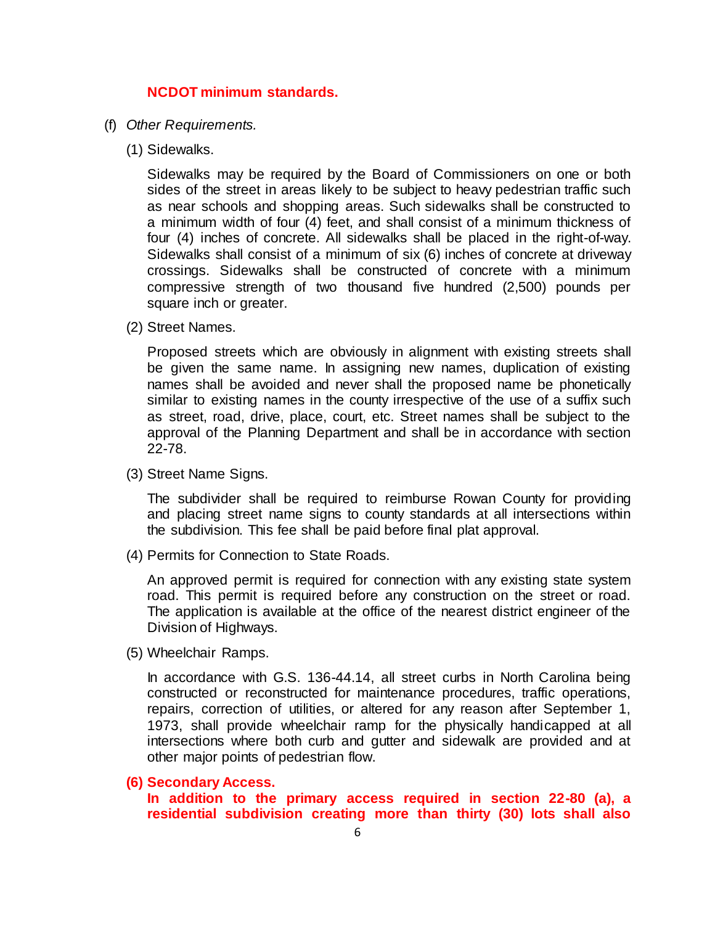### **NCDOT minimum standards.**

- (f) *Other Requirements.*
	- (1) Sidewalks.

Sidewalks may be required by the Board of Commissioners on one or both sides of the street in areas likely to be subject to heavy pedestrian traffic such as near schools and shopping areas. Such sidewalks shall be constructed to a minimum width of four (4) feet, and shall consist of a minimum thickness of four (4) inches of concrete. All sidewalks shall be placed in the right-of-way. Sidewalks shall consist of a minimum of six (6) inches of concrete at driveway crossings. Sidewalks shall be constructed of concrete with a minimum compressive strength of two thousand five hundred (2,500) pounds per square inch or greater.

(2) Street Names.

Proposed streets which are obviously in alignment with existing streets shall be given the same name. In assigning new names, duplication of existing names shall be avoided and never shall the proposed name be phonetically similar to existing names in the county irrespective of the use of a suffix such as street, road, drive, place, court, etc. Street names shall be subject to the approval of the Planning Department and shall be in accordance with section 22-78.

(3) Street Name Signs.

The subdivider shall be required to reimburse Rowan County for providing and placing street name signs to county standards at all intersections within the subdivision. This fee shall be paid before final plat approval.

(4) Permits for Connection to State Roads.

An approved permit is required for connection with any existing state system road. This permit is required before any construction on the street or road. The application is available at the office of the nearest district engineer of the Division of Highways.

(5) Wheelchair Ramps.

In accordance with G.S. 136-44.14, all street curbs in North Carolina being constructed or reconstructed for maintenance procedures, traffic operations, repairs, correction of utilities, or altered for any reason after September 1, 1973, shall provide wheelchair ramp for the physically handicapped at all intersections where both curb and gutter and sidewalk are provided and at other major points of pedestrian flow.

**(6) Secondary Access.**

**In addition to the primary access required in section 22-80 (a), a residential subdivision creating more than thirty (30) lots shall also**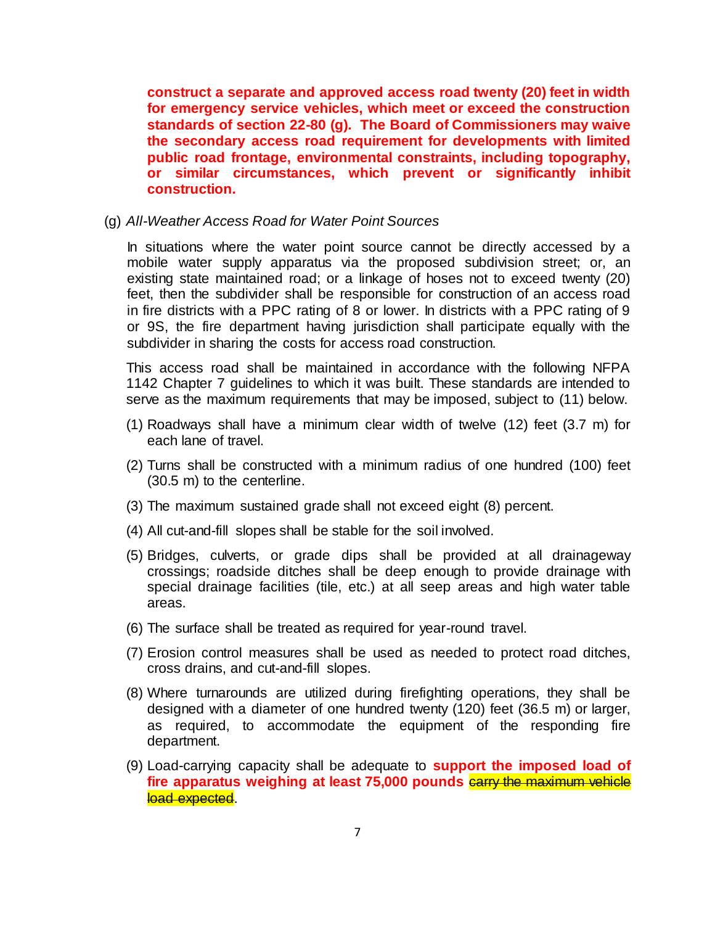**construct a separate and approved access road twenty (20) feet in width for emergency service vehicles, which meet or exceed the construction standards of section 22-80 (g). The Board of Commissioners may waive the secondary access road requirement for developments with limited public road frontage, environmental constraints, including topography, or similar circumstances, which prevent or significantly inhibit construction.**

(g) *All-Weather Access Road for Water Point Sources*

In situations where the water point source cannot be directly accessed by a mobile water supply apparatus via the proposed subdivision street; or, an existing state maintained road; or a linkage of hoses not to exceed twenty (20) feet, then the subdivider shall be responsible for construction of an access road in fire districts with a PPC rating of 8 or lower. In districts with a PPC rating of 9 or 9S, the fire department having jurisdiction shall participate equally with the subdivider in sharing the costs for access road construction.

This access road shall be maintained in accordance with the following NFPA 1142 Chapter 7 guidelines to which it was built. These standards are intended to serve as the maximum requirements that may be imposed, subject to (11) below.

- (1) Roadways shall have a minimum clear width of twelve (12) feet (3.7 m) for each lane of travel.
- (2) Turns shall be constructed with a minimum radius of one hundred (100) feet (30.5 m) to the centerline.
- (3) The maximum sustained grade shall not exceed eight (8) percent.
- (4) All cut-and-fill slopes shall be stable for the soil involved.
- (5) Bridges, culverts, or grade dips shall be provided at all drainageway crossings; roadside ditches shall be deep enough to provide drainage with special drainage facilities (tile, etc.) at all seep areas and high water table areas.
- (6) The surface shall be treated as required for year-round travel.
- (7) Erosion control measures shall be used as needed to protect road ditches, cross drains, and cut-and-fill slopes.
- (8) Where turnarounds are utilized during firefighting operations, they shall be designed with a diameter of one hundred twenty (120) feet (36.5 m) or larger, as required, to accommodate the equipment of the responding fire department.
- (9) Load-carrying capacity shall be adequate to **support the imposed load of**  fire apparatus weighing at least 75,000 pounds **carry the maximum vehicle** load expected.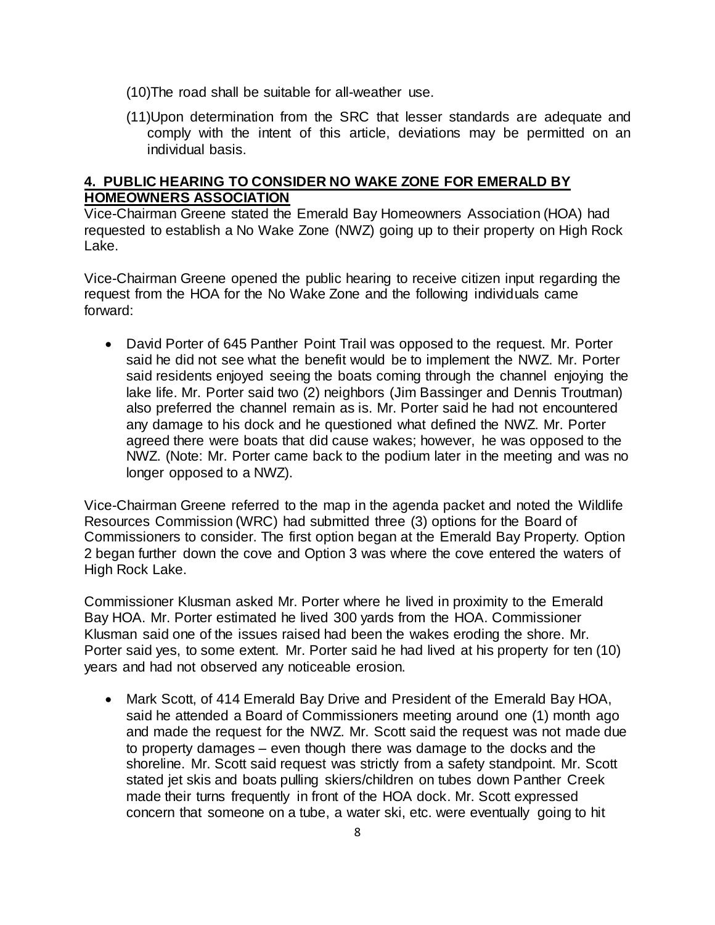- (10)The road shall be suitable for all-weather use.
- (11)Upon determination from the SRC that lesser standards are adequate and comply with the intent of this article, deviations may be permitted on an individual basis.

## **4. PUBLIC HEARING TO CONSIDER NO WAKE ZONE FOR EMERALD BY HOMEOWNERS ASSOCIATION**

Vice-Chairman Greene stated the Emerald Bay Homeowners Association (HOA) had requested to establish a No Wake Zone (NWZ) going up to their property on High Rock Lake.

Vice-Chairman Greene opened the public hearing to receive citizen input regarding the request from the HOA for the No Wake Zone and the following individuals came forward:

• David Porter of 645 Panther Point Trail was opposed to the request. Mr. Porter said he did not see what the benefit would be to implement the NWZ. Mr. Porter said residents enjoyed seeing the boats coming through the channel enjoying the lake life. Mr. Porter said two (2) neighbors (Jim Bassinger and Dennis Troutman) also preferred the channel remain as is. Mr. Porter said he had not encountered any damage to his dock and he questioned what defined the NWZ. Mr. Porter agreed there were boats that did cause wakes; however, he was opposed to the NWZ. (Note: Mr. Porter came back to the podium later in the meeting and was no longer opposed to a NWZ).

Vice-Chairman Greene referred to the map in the agenda packet and noted the Wildlife Resources Commission (WRC) had submitted three (3) options for the Board of Commissioners to consider. The first option began at the Emerald Bay Property. Option 2 began further down the cove and Option 3 was where the cove entered the waters of High Rock Lake.

Commissioner Klusman asked Mr. Porter where he lived in proximity to the Emerald Bay HOA. Mr. Porter estimated he lived 300 yards from the HOA. Commissioner Klusman said one of the issues raised had been the wakes eroding the shore. Mr. Porter said yes, to some extent. Mr. Porter said he had lived at his property for ten (10) years and had not observed any noticeable erosion.

• Mark Scott, of 414 Emerald Bay Drive and President of the Emerald Bay HOA, said he attended a Board of Commissioners meeting around one (1) month ago and made the request for the NWZ. Mr. Scott said the request was not made due to property damages – even though there was damage to the docks and the shoreline. Mr. Scott said request was strictly from a safety standpoint. Mr. Scott stated jet skis and boats pulling skiers/children on tubes down Panther Creek made their turns frequently in front of the HOA dock. Mr. Scott expressed concern that someone on a tube, a water ski, etc. were eventually going to hit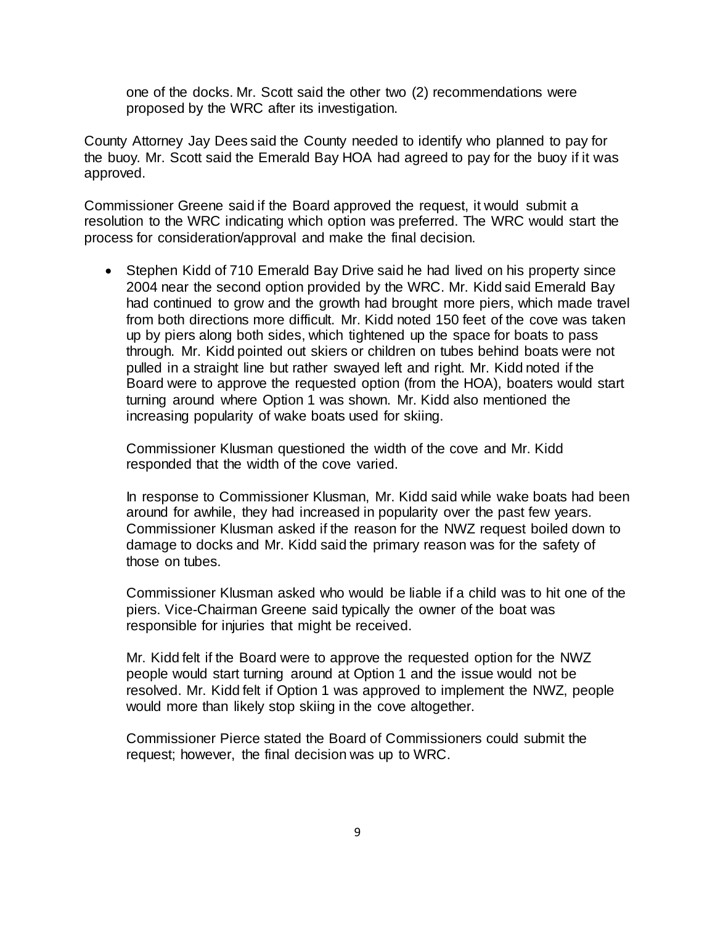one of the docks. Mr. Scott said the other two (2) recommendations were proposed by the WRC after its investigation.

County Attorney Jay Dees said the County needed to identify who planned to pay for the buoy. Mr. Scott said the Emerald Bay HOA had agreed to pay for the buoy if it was approved.

Commissioner Greene said if the Board approved the request, it would submit a resolution to the WRC indicating which option was preferred. The WRC would start the process for consideration/approval and make the final decision.

• Stephen Kidd of 710 Emerald Bay Drive said he had lived on his property since 2004 near the second option provided by the WRC. Mr. Kidd said Emerald Bay had continued to grow and the growth had brought more piers, which made travel from both directions more difficult. Mr. Kidd noted 150 feet of the cove was taken up by piers along both sides, which tightened up the space for boats to pass through. Mr. Kidd pointed out skiers or children on tubes behind boats were not pulled in a straight line but rather swayed left and right. Mr. Kidd noted if the Board were to approve the requested option (from the HOA), boaters would start turning around where Option 1 was shown. Mr. Kidd also mentioned the increasing popularity of wake boats used for skiing.

Commissioner Klusman questioned the width of the cove and Mr. Kidd responded that the width of the cove varied.

In response to Commissioner Klusman, Mr. Kidd said while wake boats had been around for awhile, they had increased in popularity over the past few years. Commissioner Klusman asked if the reason for the NWZ request boiled down to damage to docks and Mr. Kidd said the primary reason was for the safety of those on tubes.

Commissioner Klusman asked who would be liable if a child was to hit one of the piers. Vice-Chairman Greene said typically the owner of the boat was responsible for injuries that might be received.

Mr. Kidd felt if the Board were to approve the requested option for the NWZ people would start turning around at Option 1 and the issue would not be resolved. Mr. Kidd felt if Option 1 was approved to implement the NWZ, people would more than likely stop skiing in the cove altogether.

Commissioner Pierce stated the Board of Commissioners could submit the request; however, the final decision was up to WRC.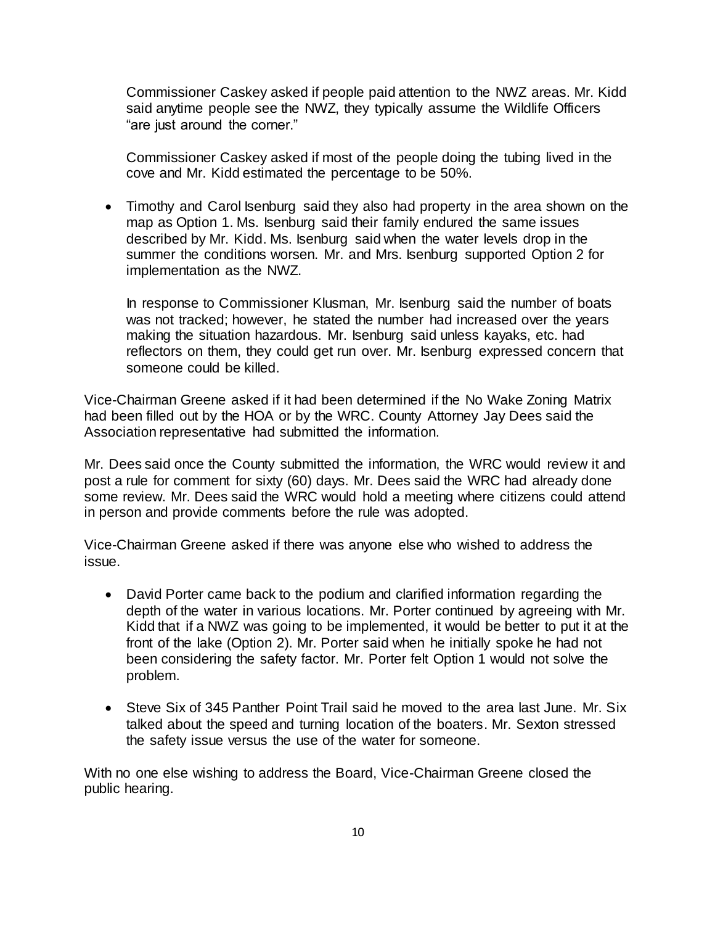Commissioner Caskey asked if people paid attention to the NWZ areas. Mr. Kidd said anytime people see the NWZ, they typically assume the Wildlife Officers "are just around the corner."

Commissioner Caskey asked if most of the people doing the tubing lived in the cove and Mr. Kidd estimated the percentage to be 50%.

• Timothy and Carol Isenburg said they also had property in the area shown on the map as Option 1. Ms. Isenburg said their family endured the same issues described by Mr. Kidd. Ms. Isenburg said when the water levels drop in the summer the conditions worsen. Mr. and Mrs. Isenburg supported Option 2 for implementation as the NWZ.

In response to Commissioner Klusman, Mr. Isenburg said the number of boats was not tracked; however, he stated the number had increased over the years making the situation hazardous. Mr. Isenburg said unless kayaks, etc. had reflectors on them, they could get run over. Mr. Isenburg expressed concern that someone could be killed.

Vice-Chairman Greene asked if it had been determined if the No Wake Zoning Matrix had been filled out by the HOA or by the WRC. County Attorney Jay Dees said the Association representative had submitted the information.

Mr. Dees said once the County submitted the information, the WRC would review it and post a rule for comment for sixty (60) days. Mr. Dees said the WRC had already done some review. Mr. Dees said the WRC would hold a meeting where citizens could attend in person and provide comments before the rule was adopted.

Vice-Chairman Greene asked if there was anyone else who wished to address the issue.

- David Porter came back to the podium and clarified information regarding the depth of the water in various locations. Mr. Porter continued by agreeing with Mr. Kidd that if a NWZ was going to be implemented, it would be better to put it at the front of the lake (Option 2). Mr. Porter said when he initially spoke he had not been considering the safety factor. Mr. Porter felt Option 1 would not solve the problem.
- Steve Six of 345 Panther Point Trail said he moved to the area last June. Mr. Six talked about the speed and turning location of the boaters. Mr. Sexton stressed the safety issue versus the use of the water for someone.

With no one else wishing to address the Board, Vice-Chairman Greene closed the public hearing.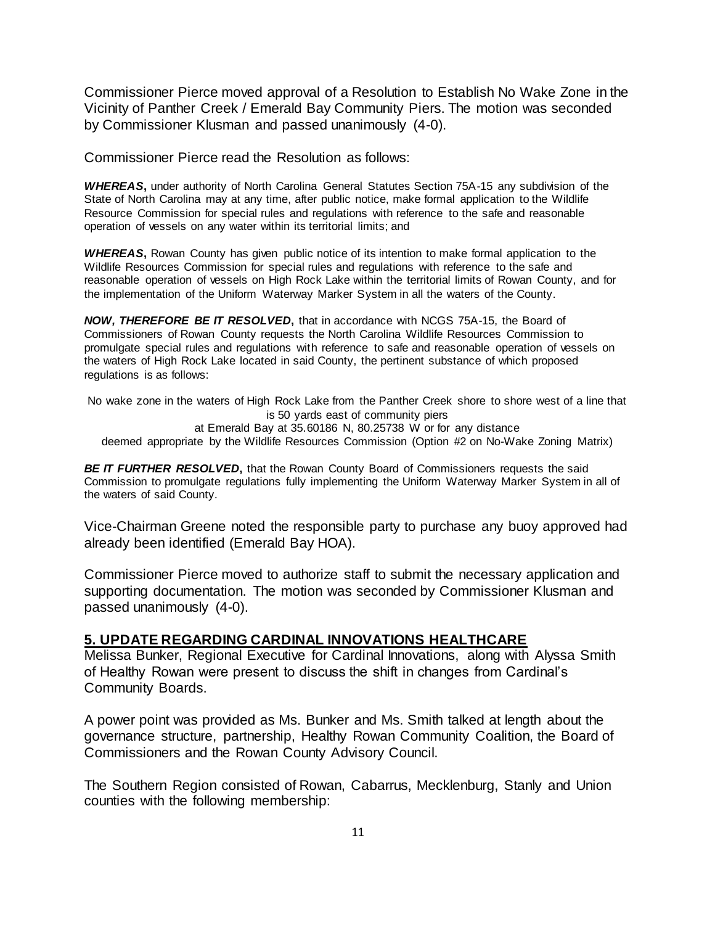Commissioner Pierce moved approval of a Resolution to Establish No Wake Zone in the Vicinity of Panther Creek / Emerald Bay Community Piers. The motion was seconded by Commissioner Klusman and passed unanimously (4-0).

Commissioner Pierce read the Resolution as follows:

*WHEREAS***,** under authority of North Carolina General Statutes Section 75A-15 any subdivision of the State of North Carolina may at any time, after public notice, make formal application to the Wildlife Resource Commission for special rules and regulations with reference to the safe and reasonable operation of vessels on any water within its territorial limits; and

*WHEREAS***,** Rowan County has given public notice of its intention to make formal application to the Wildlife Resources Commission for special rules and regulations with reference to the safe and reasonable operation of vessels on High Rock Lake within the territorial limits of Rowan County, and for the implementation of the Uniform Waterway Marker System in all the waters of the County.

*NOW, THEREFORE BE IT RESOLVED***,** that in accordance with NCGS 75A-15, the Board of Commissioners of Rowan County requests the North Carolina Wildlife Resources Commission to promulgate special rules and regulations with reference to safe and reasonable operation of vessels on the waters of High Rock Lake located in said County, the pertinent substance of which proposed regulations is as follows:

No wake zone in the waters of High Rock Lake from the Panther Creek shore to shore west of a line that is 50 yards east of community piers at Emerald Bay at 35.60186 N, 80.25738 W or for any distance deemed appropriate by the Wildlife Resources Commission (Option #2 on No-Wake Zoning Matrix)

**BE IT FURTHER RESOLVED**, that the Rowan County Board of Commissioners requests the said Commission to promulgate regulations fully implementing the Uniform Waterway Marker System in all of the waters of said County.

Vice-Chairman Greene noted the responsible party to purchase any buoy approved had already been identified (Emerald Bay HOA).

Commissioner Pierce moved to authorize staff to submit the necessary application and supporting documentation. The motion was seconded by Commissioner Klusman and passed unanimously (4-0).

### **5. UPDATE REGARDING CARDINAL INNOVATIONS HEALTHCARE**

Melissa Bunker, Regional Executive for Cardinal Innovations, along with Alyssa Smith of Healthy Rowan were present to discuss the shift in changes from Cardinal's Community Boards.

A power point was provided as Ms. Bunker and Ms. Smith talked at length about the governance structure, partnership, Healthy Rowan Community Coalition, the Board of Commissioners and the Rowan County Advisory Council.

The Southern Region consisted of Rowan, Cabarrus, Mecklenburg, Stanly and Union counties with the following membership: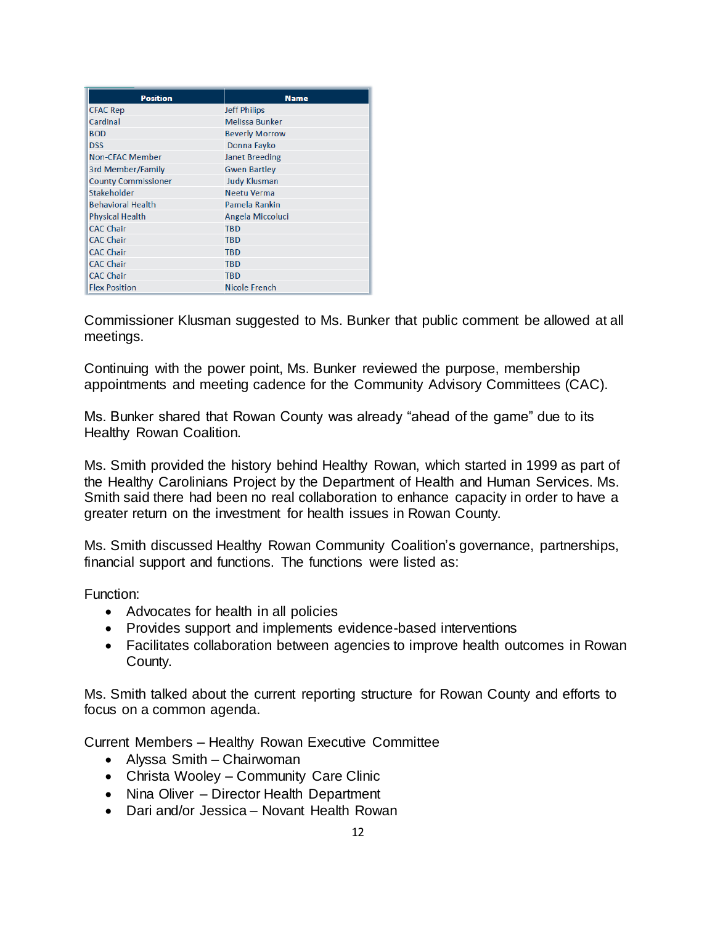| <b>Position</b>            | <b>Name</b>           |
|----------------------------|-----------------------|
| <b>CFAC Rep</b>            | <b>Jeff Philips</b>   |
| Cardinal                   | <b>Melissa Bunker</b> |
| <b>BOD</b>                 | <b>Beverly Morrow</b> |
| <b>DSS</b>                 | Donna Fayko           |
| <b>Non-CFAC Member</b>     | <b>Janet Breeding</b> |
| 3rd Member/Family          | <b>Gwen Bartley</b>   |
| <b>County Commissioner</b> | <b>Judy Klusman</b>   |
| Stakeholder                | Neetu Verma           |
| <b>Behavioral Health</b>   | Pamela Rankin         |
| <b>Physical Health</b>     | Angela Miccoluci      |
| <b>CAC Chair</b>           | <b>TBD</b>            |
| <b>CAC Chair</b>           | <b>TBD</b>            |
| <b>CAC Chair</b>           | <b>TBD</b>            |
| <b>CAC Chair</b>           | <b>TBD</b>            |
| <b>CAC Chair</b>           | <b>TBD</b>            |
| <b>Flex Position</b>       | Nicole French         |

Commissioner Klusman suggested to Ms. Bunker that public comment be allowed at all meetings.

Continuing with the power point, Ms. Bunker reviewed the purpose, membership appointments and meeting cadence for the Community Advisory Committees (CAC).

Ms. Bunker shared that Rowan County was already "ahead of the game" due to its Healthy Rowan Coalition.

Ms. Smith provided the history behind Healthy Rowan, which started in 1999 as part of the Healthy Carolinians Project by the Department of Health and Human Services. Ms. Smith said there had been no real collaboration to enhance capacity in order to have a greater return on the investment for health issues in Rowan County.

Ms. Smith discussed Healthy Rowan Community Coalition's governance, partnerships, financial support and functions. The functions were listed as:

Function:

- Advocates for health in all policies
- Provides support and implements evidence-based interventions
- Facilitates collaboration between agencies to improve health outcomes in Rowan County.

Ms. Smith talked about the current reporting structure for Rowan County and efforts to focus on a common agenda.

Current Members – Healthy Rowan Executive Committee

- Alyssa Smith Chairwoman
- Christa Wooley Community Care Clinic
- Nina Oliver Director Health Department
- Dari and/or Jessica Novant Health Rowan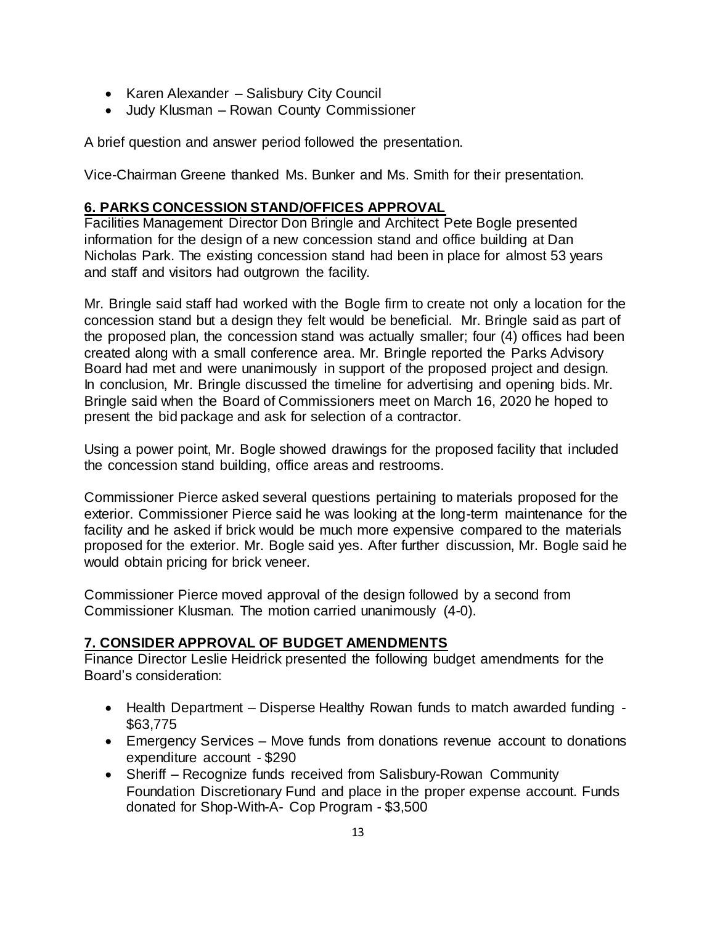- Karen Alexander Salisbury City Council
- Judy Klusman Rowan County Commissioner

A brief question and answer period followed the presentation.

Vice-Chairman Greene thanked Ms. Bunker and Ms. Smith for their presentation.

## **6. PARKS CONCESSION STAND/OFFICES APPROVAL**

Facilities Management Director Don Bringle and Architect Pete Bogle presented information for the design of a new concession stand and office building at Dan Nicholas Park. The existing concession stand had been in place for almost 53 years and staff and visitors had outgrown the facility.

Mr. Bringle said staff had worked with the Bogle firm to create not only a location for the concession stand but a design they felt would be beneficial. Mr. Bringle said as part of the proposed plan, the concession stand was actually smaller; four (4) offices had been created along with a small conference area. Mr. Bringle reported the Parks Advisory Board had met and were unanimously in support of the proposed project and design. In conclusion, Mr. Bringle discussed the timeline for advertising and opening bids. Mr. Bringle said when the Board of Commissioners meet on March 16, 2020 he hoped to present the bid package and ask for selection of a contractor.

Using a power point, Mr. Bogle showed drawings for the proposed facility that included the concession stand building, office areas and restrooms.

Commissioner Pierce asked several questions pertaining to materials proposed for the exterior. Commissioner Pierce said he was looking at the long-term maintenance for the facility and he asked if brick would be much more expensive compared to the materials proposed for the exterior. Mr. Bogle said yes. After further discussion, Mr. Bogle said he would obtain pricing for brick veneer.

Commissioner Pierce moved approval of the design followed by a second from Commissioner Klusman. The motion carried unanimously (4-0).

## **7. CONSIDER APPROVAL OF BUDGET AMENDMENTS**

Finance Director Leslie Heidrick presented the following budget amendments for the Board's consideration:

- Health Department Disperse Healthy Rowan funds to match awarded funding \$63,775
- Emergency Services Move funds from donations revenue account to donations expenditure account - \$290
- Sheriff Recognize funds received from Salisbury-Rowan Community Foundation Discretionary Fund and place in the proper expense account. Funds donated for Shop-With-A- Cop Program - \$3,500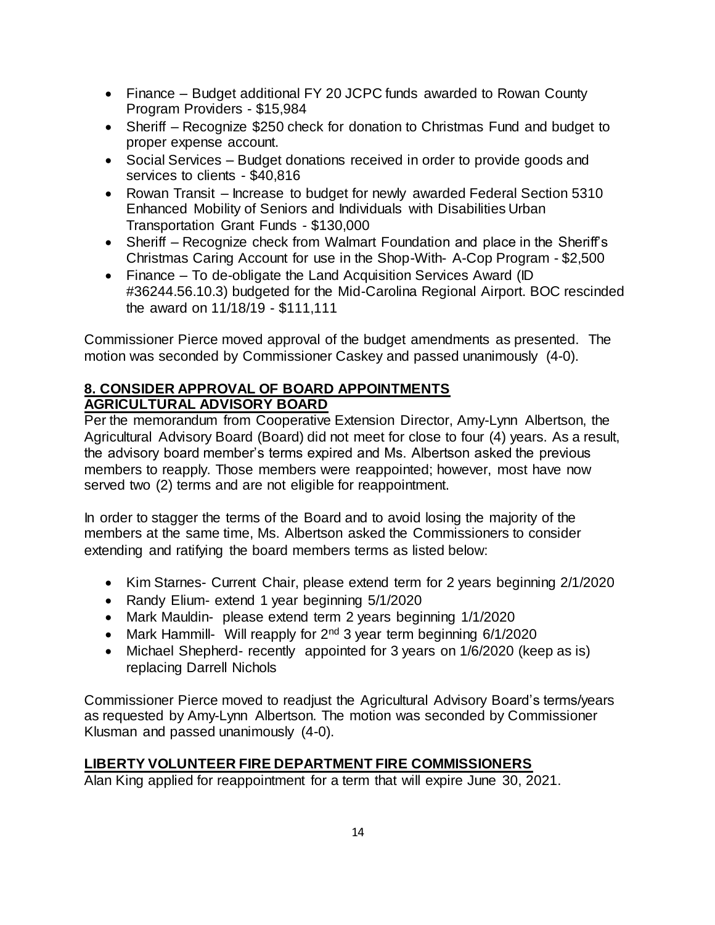- Finance Budget additional FY 20 JCPC funds awarded to Rowan County Program Providers - \$15,984
- Sheriff Recognize \$250 check for donation to Christmas Fund and budget to proper expense account.
- Social Services Budget donations received in order to provide goods and services to clients - \$40,816
- Rowan Transit Increase to budget for newly awarded Federal Section 5310 Enhanced Mobility of Seniors and Individuals with Disabilities Urban Transportation Grant Funds - \$130,000
- Sheriff Recognize check from Walmart Foundation and place in the Sheriff's Christmas Caring Account for use in the Shop-With- A-Cop Program - \$2,500
- Finance To de-obligate the Land Acquisition Services Award (ID #36244.56.10.3) budgeted for the Mid-Carolina Regional Airport. BOC rescinded the award on 11/18/19 - \$111,111

Commissioner Pierce moved approval of the budget amendments as presented. The motion was seconded by Commissioner Caskey and passed unanimously (4-0).

# **8. CONSIDER APPROVAL OF BOARD APPOINTMENTS AGRICULTURAL ADVISORY BOARD**

Per the memorandum from Cooperative Extension Director, Amy-Lynn Albertson, the Agricultural Advisory Board (Board) did not meet for close to four (4) years. As a result, the advisory board member's terms expired and Ms. Albertson asked the previous members to reapply. Those members were reappointed; however, most have now served two (2) terms and are not eligible for reappointment.

In order to stagger the terms of the Board and to avoid losing the majority of the members at the same time, Ms. Albertson asked the Commissioners to consider extending and ratifying the board members terms as listed below:

- Kim Starnes- Current Chair, please extend term for 2 years beginning 2/1/2020
- Randy Elium- extend 1 year beginning 5/1/2020
- Mark Mauldin- please extend term 2 years beginning 1/1/2020
- Mark Hammill- Will reapply for  $2<sup>nd</sup>$  3 year term beginning 6/1/2020
- Michael Shepherd- recently appointed for 3 years on 1/6/2020 (keep as is) replacing Darrell Nichols

Commissioner Pierce moved to readjust the Agricultural Advisory Board's terms/years as requested by Amy-Lynn Albertson. The motion was seconded by Commissioner Klusman and passed unanimously (4-0).

## **LIBERTY VOLUNTEER FIRE DEPARTMENT FIRE COMMISSIONERS**

Alan King applied for reappointment for a term that will expire June 30, 2021.